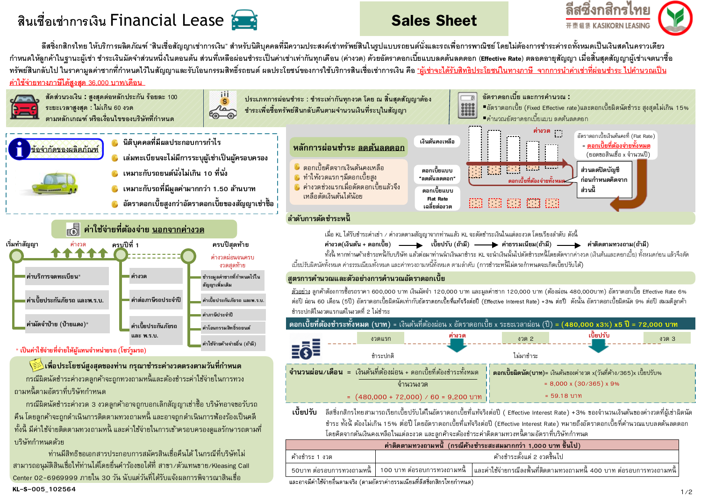# **ี** สินเชื่อเช่าการเงิน Financial Lease **State Sheet Sales Sheet**





ลีสซิ่งกสิกรไทย ให้บริการผลิตภัณฑ์ "สินเชื่อสัญญาเช่าการเงิน" สำหรับนิติบุคคลที่มีความประสงค์เช่าทรัพย์สินในรูปแบบรถยนต์นั่งและรถเพื่อการพาณิชย์ โดยไม่ต้องการชำระค่ารถทั้งหมดเป็นเงินสดในคราวเดียว ่ กำหนดให้ลูกค้าในฐานะผู้เช่า ชำระเงินมัดจำส่วนหนึ่งในตอนต้น ส่วนที่เหลือผ่อนชำระเป็นค่าเช่าเท่ากันทุกเดือน (ค่างวด) ด้วยอัตราดอกเบี้ยแบบลดต้นลดดอก (Effective Rate) ตลอดอายุสัญญา เมื่อสิ้นสดสัญญาผู้เช่าเจตนาซื้อ ิทรัพย์สินกลับไป ในราคามูลค่าซากที่กำหนดไว้ในสัญญาและรับโอนกรรมสิทธิ์รถยนต์ ผลประโยชน์ของการใช้บริการสินเชื่อเช่าการเงิน คือ <u>"ผู้เช่าจะได้รับสิทธิประโยชน์ในทางภาษี จากการนำค่าเช่าที่ผ่อนชำระ ไปคำนวณเป็น</u> **์ค่าใช้จ่ายทางภาษีได้สงสด** 36,000 บาท/เดือน